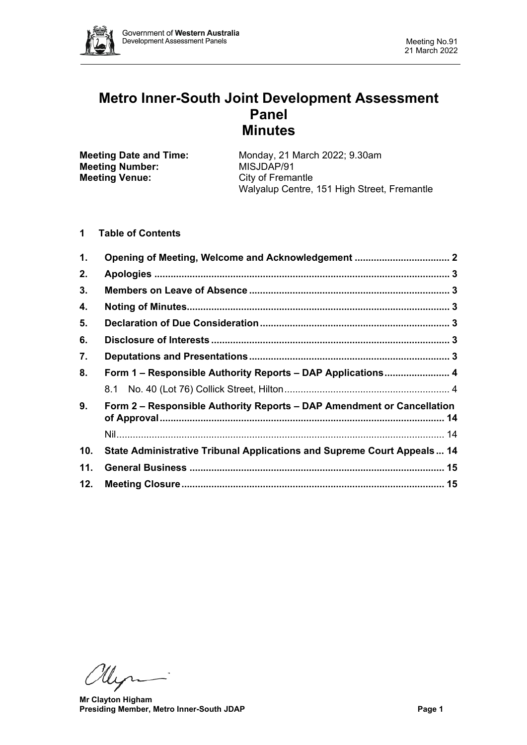

# **Metro Inner-South Joint Development Assessment Panel Minutes**

| <b>Meeting Date and Time:</b> | Monday, 21 March 2022; 9.30am               |  |  |
|-------------------------------|---------------------------------------------|--|--|
| <b>Meeting Number:</b>        | MISJDAP/91                                  |  |  |
| <b>Meeting Venue:</b>         | City of Fremantle                           |  |  |
|                               | Walyalup Centre, 151 High Street, Fremantle |  |  |

## **1 Table of Contents**

| 1.  |                                                                         |  |  |
|-----|-------------------------------------------------------------------------|--|--|
| 2.  |                                                                         |  |  |
| 3.  |                                                                         |  |  |
| 4.  |                                                                         |  |  |
| 5.  |                                                                         |  |  |
| 6.  |                                                                         |  |  |
| 7.  |                                                                         |  |  |
| 8.  | Form 1 – Responsible Authority Reports – DAP Applications 4             |  |  |
|     |                                                                         |  |  |
| 9.  | Form 2 – Responsible Authority Reports – DAP Amendment or Cancellation  |  |  |
|     |                                                                         |  |  |
| 10. | State Administrative Tribunal Applications and Supreme Court Appeals 14 |  |  |
| 11. |                                                                         |  |  |
| 12. |                                                                         |  |  |

Myri

**Mr Clayton Higham Presiding Member, Metro Inner-South JDAP Page 1**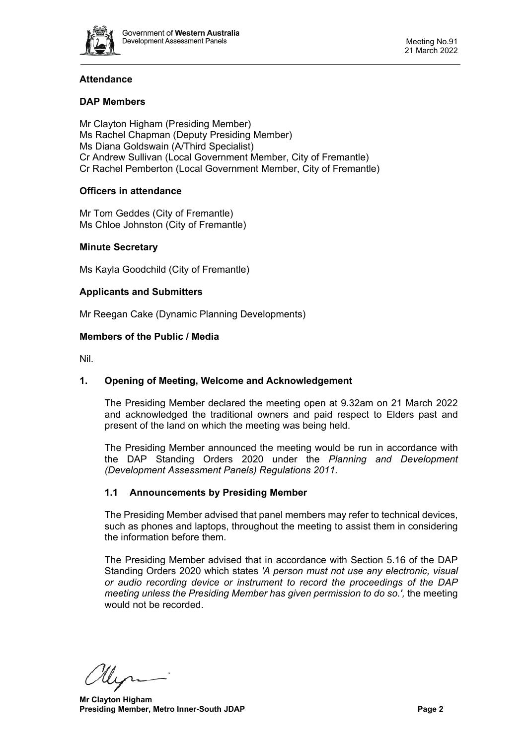

# **Attendance**

## **DAP Members**

Mr Clayton Higham (Presiding Member) Ms Rachel Chapman (Deputy Presiding Member) Ms Diana Goldswain (A/Third Specialist) Cr Andrew Sullivan (Local Government Member, City of Fremantle) Cr Rachel Pemberton (Local Government Member, City of Fremantle)

## **Officers in attendance**

Mr Tom Geddes (City of Fremantle) Ms Chloe Johnston (City of Fremantle)

## **Minute Secretary**

Ms Kayla Goodchild (City of Fremantle)

## **Applicants and Submitters**

Mr Reegan Cake (Dynamic Planning Developments)

## **Members of the Public / Media**

<span id="page-1-0"></span>Nil.

#### **1. Opening of Meeting, Welcome and Acknowledgement**

The Presiding Member declared the meeting open at 9.32am on 21 March 2022 and acknowledged the traditional owners and paid respect to Elders past and present of the land on which the meeting was being held.

The Presiding Member announced the meeting would be run in accordance with the DAP Standing Orders 2020 under the *Planning and Development (Development Assessment Panels) Regulations 2011.*

#### **1.1 Announcements by Presiding Member**

The Presiding Member advised that panel members may refer to technical devices, such as phones and laptops, throughout the meeting to assist them in considering the information before them.

The Presiding Member advised that in accordance with Section 5.16 of the DAP Standing Orders 2020 which states *'A person must not use any electronic, visual or audio recording device or instrument to record the proceedings of the DAP meeting unless the Presiding Member has given permission to do so.',* the meeting would not be recorded.

llyn

**Mr Clayton Higham Presiding Member, Metro Inner-South JDAP Page 2**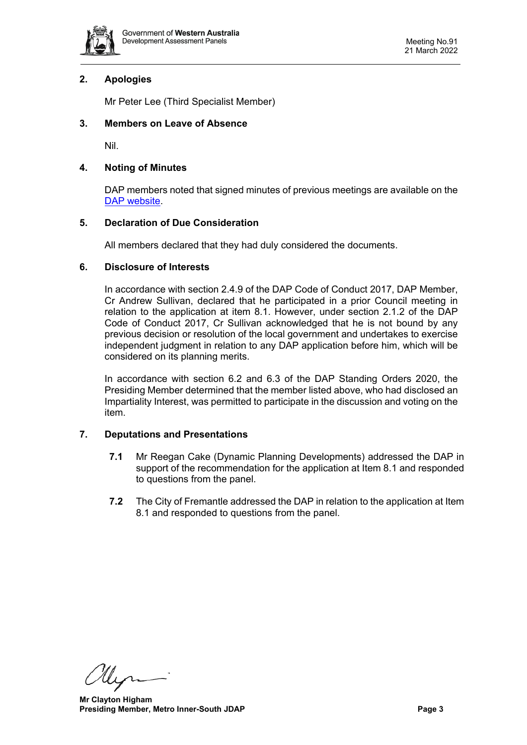

## <span id="page-2-0"></span>**2. Apologies**

Mr Peter Lee (Third Specialist Member)

## <span id="page-2-1"></span>**3. Members on Leave of Absence**

Nil.

## <span id="page-2-2"></span>**4. Noting of Minutes**

DAP members noted that signed minutes of previous meetings are available on the [DAP website.](https://www.dplh.wa.gov.au/about/development-assessment-panels/daps-agendas-and-minutes)

## <span id="page-2-3"></span>**5. Declaration of Due Consideration**

All members declared that they had duly considered the documents.

## <span id="page-2-4"></span>**6. Disclosure of Interests**

In accordance with section 2.4.9 of the DAP Code of Conduct 2017, DAP Member, Cr Andrew Sullivan, declared that he participated in a prior Council meeting in relation to the application at item 8.1. However, under section 2.1.2 of the DAP Code of Conduct 2017, Cr Sullivan acknowledged that he is not bound by any previous decision or resolution of the local government and undertakes to exercise independent judgment in relation to any DAP application before him, which will be considered on its planning merits.

In accordance with section 6.2 and 6.3 of the DAP Standing Orders 2020, the Presiding Member determined that the member listed above, who had disclosed an Impartiality Interest, was permitted to participate in the discussion and voting on the item.

## <span id="page-2-5"></span>**7. Deputations and Presentations**

- **7.1** Mr Reegan Cake (Dynamic Planning Developments) addressed the DAP in support of the recommendation for the application at Item 8.1 and responded to questions from the panel.
- **7.2** The City of Fremantle addressed the DAP in relation to the application at Item 8.1 and responded to questions from the panel.

Ulyn

**Mr Clayton Higham Presiding Member, Metro Inner-South JDAP Page 3**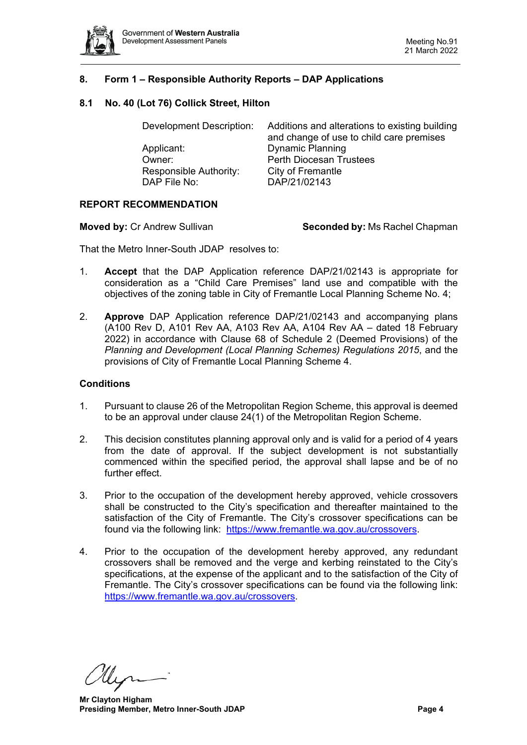

## <span id="page-3-0"></span>**8. Form 1 – Responsible Authority Reports – DAP Applications**

## <span id="page-3-1"></span>**8.1 No. 40 (Lot 76) Collick Street, Hilton**

| Development Description: | Additions and alterations to existing building<br>and change of use to child care premises |  |
|--------------------------|--------------------------------------------------------------------------------------------|--|
| Applicant:               | <b>Dynamic Planning</b>                                                                    |  |
| Owner:                   | <b>Perth Diocesan Trustees</b>                                                             |  |
| Responsible Authority:   | City of Fremantle                                                                          |  |
| DAP File No:             | DAP/21/02143                                                                               |  |
|                          |                                                                                            |  |

## **REPORT RECOMMENDATION**

**Moved by: Cr Andrew Sullivan <b>Seconded by:** Ms Rachel Chapman

That the Metro Inner-South JDAP resolves to:

- 1. **Accept** that the DAP Application reference DAP/21/02143 is appropriate for consideration as a "Child Care Premises" land use and compatible with the objectives of the zoning table in City of Fremantle Local Planning Scheme No. 4;
- 2. **Approve** DAP Application reference DAP/21/02143 and accompanying plans (A100 Rev D, A101 Rev AA, A103 Rev AA, A104 Rev AA – dated 18 February 2022) in accordance with Clause 68 of Schedule 2 (Deemed Provisions) of the *Planning and Development (Local Planning Schemes) Regulations 2015*, and the provisions of City of Fremantle Local Planning Scheme 4.

#### **Conditions**

- 1. Pursuant to clause 26 of the Metropolitan Region Scheme, this approval is deemed to be an approval under clause 24(1) of the Metropolitan Region Scheme.
- 2. This decision constitutes planning approval only and is valid for a period of 4 years from the date of approval. If the subject development is not substantially commenced within the specified period, the approval shall lapse and be of no further effect.
- 3. Prior to the occupation of the development hereby approved, vehicle crossovers shall be constructed to the City's specification and thereafter maintained to the satisfaction of the City of Fremantle. The City's crossover specifications can be found via the following link: [https://www.fremantle.wa.gov.au/crossovers.](https://www.fremantle.wa.gov.au/crossovers)
- 4. Prior to the occupation of the development hereby approved, any redundant crossovers shall be removed and the verge and kerbing reinstated to the City's specifications, at the expense of the applicant and to the satisfaction of the City of Fremantle. The City's crossover specifications can be found via the following link: [https://www.fremantle.wa.gov.au/crossovers.](https://www.fremantle.wa.gov.au/crossovers)

**Mr Clayton Higham Presiding Member, Metro Inner-South JDAP Page 4 Page 4**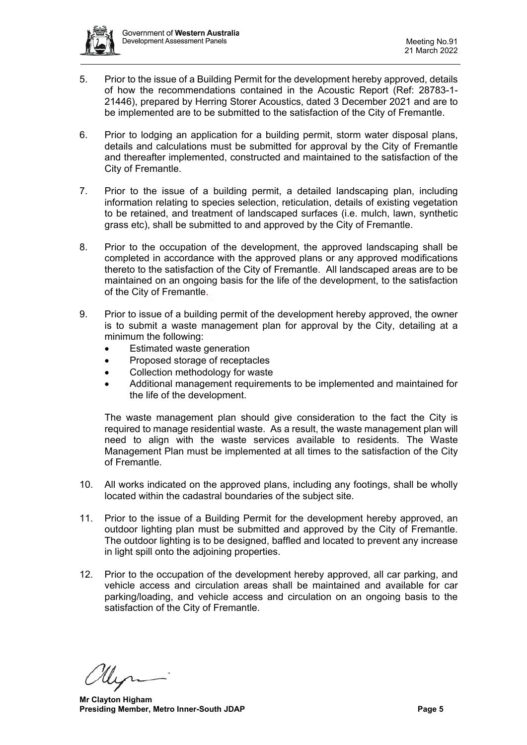

- 5. Prior to the issue of a Building Permit for the development hereby approved, details of how the recommendations contained in the Acoustic Report (Ref: 28783-1- 21446), prepared by Herring Storer Acoustics, dated 3 December 2021 and are to be implemented are to be submitted to the satisfaction of the City of Fremantle.
- 6. Prior to lodging an application for a building permit, storm water disposal plans, details and calculations must be submitted for approval by the City of Fremantle and thereafter implemented, constructed and maintained to the satisfaction of the City of Fremantle.
- 7. Prior to the issue of a building permit, a detailed landscaping plan, including information relating to species selection, reticulation, details of existing vegetation to be retained, and treatment of landscaped surfaces (i.e. mulch, lawn, synthetic grass etc), shall be submitted to and approved by the City of Fremantle.
- 8. Prior to the occupation of the development, the approved landscaping shall be completed in accordance with the approved plans or any approved modifications thereto to the satisfaction of the City of Fremantle. All landscaped areas are to be maintained on an ongoing basis for the life of the development, to the satisfaction of the City of Fremantle.
- 9. Prior to issue of a building permit of the development hereby approved, the owner is to submit a waste management plan for approval by the City, detailing at a minimum the following:
	- Estimated waste generation
	- Proposed storage of receptacles
	- Collection methodology for waste
	- Additional management requirements to be implemented and maintained for the life of the development.

The waste management plan should give consideration to the fact the City is required to manage residential waste. As a result, the waste management plan will need to align with the waste services available to residents. The Waste Management Plan must be implemented at all times to the satisfaction of the City of Fremantle.

- 10. All works indicated on the approved plans, including any footings, shall be wholly located within the cadastral boundaries of the subject site.
- 11. Prior to the issue of a Building Permit for the development hereby approved, an outdoor lighting plan must be submitted and approved by the City of Fremantle. The outdoor lighting is to be designed, baffled and located to prevent any increase in light spill onto the adjoining properties.
- 12. Prior to the occupation of the development hereby approved, all car parking, and vehicle access and circulation areas shall be maintained and available for car parking/loading, and vehicle access and circulation on an ongoing basis to the satisfaction of the City of Fremantle.

**Mr Clayton Higham Presiding Member, Metro Inner-South JDAP Page 5 Page 5**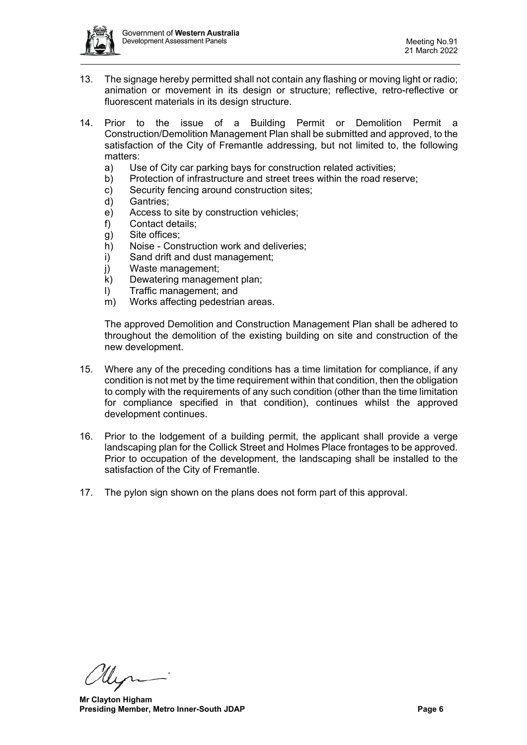

- 13. The signage hereby permitted shall not contain any flashing or moving light or radio; animation or movement in its design or structure; reflective, retro-reflective or fluorescent materials in its design structure.
- 14. Prior to the issue of a Building Permit or Demolition Permit a Construction/Demolition Management Plan shall be submitted and approved, to the satisfaction of the City of Fremantle addressing, but not limited to, the following matters:
	- a) Use of City car parking bays for construction related activities;
	- b) Protection of infrastructure and street trees within the road reserve;
	- c) Security fencing around construction sites;
	- d) Gantries;
	- e) Access to site by construction vehicles;
	- f) Contact details;
	- g) Site offices;
	- h) Noise Construction work and deliveries;
	- i) Sand drift and dust management;
	- j) Waste management;
	- k) Dewatering management plan;
	- l) Traffic management; and
	- m) Works affecting pedestrian areas.

The approved Demolition and Construction Management Plan shall be adhered to throughout the demolition of the existing building on site and construction of the new development.

- 15. Where any of the preceding conditions has a time limitation for compliance, if any condition is not met by the time requirement within that condition, then the obligation to comply with the requirements of any such condition (other than the time limitation for compliance specified in that condition), continues whilst the approved development continues.
- 16. Prior to the lodgement of a building permit, the applicant shall provide a verge landscaping plan for the Collick Street and Holmes Place frontages to be approved. Prior to occupation of the development, the landscaping shall be installed to the satisfaction of the City of Fremantle.
- 17. The pylon sign shown on the plans does not form part of this approval.

**Mr Clayton Higham Presiding Member, Metro Inner-South JDAP Page 6 Page 6**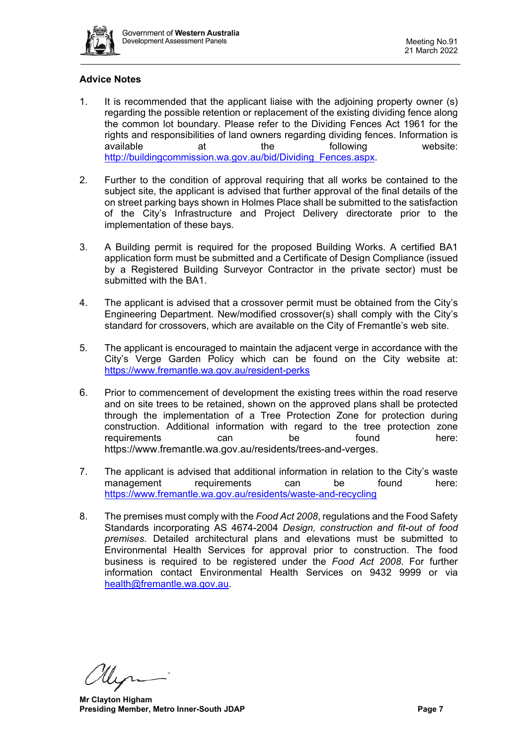

# **Advice Notes**

- 1. It is recommended that the applicant liaise with the adjoining property owner (s) regarding the possible retention or replacement of the existing dividing fence along the common lot boundary. Please refer to the Dividing Fences Act 1961 for the rights and responsibilities of land owners regarding dividing fences. Information is available at the following website: [http://buildingcommission.wa.gov.au/bid/Dividing\\_Fences.aspx.](http://buildingcommission.wa.gov.au/bid/Dividing_Fences.aspx)
- 2. Further to the condition of approval requiring that all works be contained to the subject site, the applicant is advised that further approval of the final details of the on street parking bays shown in Holmes Place shall be submitted to the satisfaction of the City's Infrastructure and Project Delivery directorate prior to the implementation of these bays.
- 3. A Building permit is required for the proposed Building Works. A certified BA1 application form must be submitted and a Certificate of Design Compliance (issued by a Registered Building Surveyor Contractor in the private sector) must be submitted with the BA1.
- 4. The applicant is advised that a crossover permit must be obtained from the City's Engineering Department. New/modified crossover(s) shall comply with the City's standard for crossovers, which are available on the City of Fremantle's web site.
- 5. The applicant is encouraged to maintain the adjacent verge in accordance with the City's Verge Garden Policy which can be found on the City website at: <https://www.fremantle.wa.gov.au/resident-perks>
- 6. Prior to commencement of development the existing trees within the road reserve and on site trees to be retained, shown on the approved plans shall be protected through the implementation of a Tree Protection Zone for protection during construction. Additional information with regard to the tree protection zone requirements can be found here: [https://www.fremantle.wa.gov.au/residents/trees-and-verges.](https://www.fremantle.wa.gov.au/residents/trees-and-verges)
- 7. The applicant is advised that additional information in relation to the City's waste management requirements can be found here: <https://www.fremantle.wa.gov.au/residents/waste-and-recycling>
- 8. The premises must comply with the *Food Act 2008*, regulations and the Food Safety Standards incorporating AS 4674-2004 *Design, construction and fit-out of food premises*. Detailed architectural plans and elevations must be submitted to Environmental Health Services for approval prior to construction. The food business is required to be registered under the *Food Act 2008*. For further information contact Environmental Health Services on 9432 9999 or via [health@fremantle.wa.gov.au.](mailto:health@fremantle.wa.gov.au)

**Mr Clayton Higham Presiding Member, Metro Inner-South JDAP Page 7 Page 7**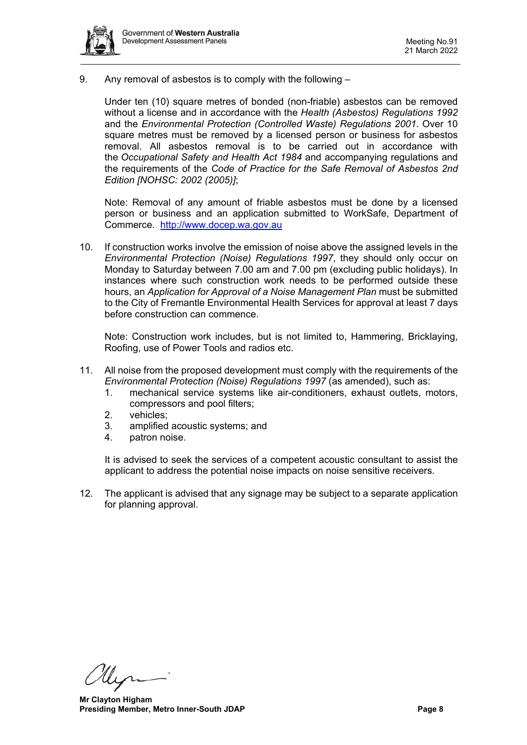

9. Any removal of asbestos is to comply with the following –

Under ten (10) square metres of bonded (non-friable) asbestos can be removed without a license and in accordance with the *Health (Asbestos) Regulations 1992* and the *Environmental Protection (Controlled Waste) Regulations 2001*. Over 10 square metres must be removed by a licensed person or business for asbestos removal. All asbestos removal is to be carried out in accordance with the *Occupational Safety and Health Act 1984* and accompanying regulations and the requirements of the *Code of Practice for the Safe Removal of Asbestos 2nd Edition [NOHSC: 2002 (2005)]*;

Note: Removal of any amount of friable asbestos must be done by a licensed person or business and an application submitted to WorkSafe, Department of Commerce. [http://www.docep.wa.gov.au](http://www.docep.wa.gov.au/)

10. If construction works involve the emission of noise above the assigned levels in the *Environmental Protection (Noise) Regulations 1997*, they should only occur on Monday to Saturday between 7.00 am and 7.00 pm (excluding public holidays). In instances where such construction work needs to be performed outside these hours, an *Application for Approval of a Noise Management Plan* must be submitted to the City of Fremantle Environmental Health Services for approval at least 7 days before construction can commence.

Note: Construction work includes, but is not limited to, Hammering, Bricklaying, Roofing, use of Power Tools and radios etc.

- 11. All noise from the proposed development must comply with the requirements of the *Environmental Protection (Noise) Regulations 1997* (as amended), such as:
	- 1. mechanical service systems like air-conditioners, exhaust outlets, motors, compressors and pool filters;
	- 2. vehicles;
	- 3. amplified acoustic systems; and
	- 4. patron noise.

It is advised to seek the services of a competent acoustic consultant to assist the applicant to address the potential noise impacts on noise sensitive receivers.

12. The applicant is advised that any signage may be subject to a separate application for planning approval.

**Mr Clayton Higham Presiding Member, Metro Inner-South JDAP Page 8**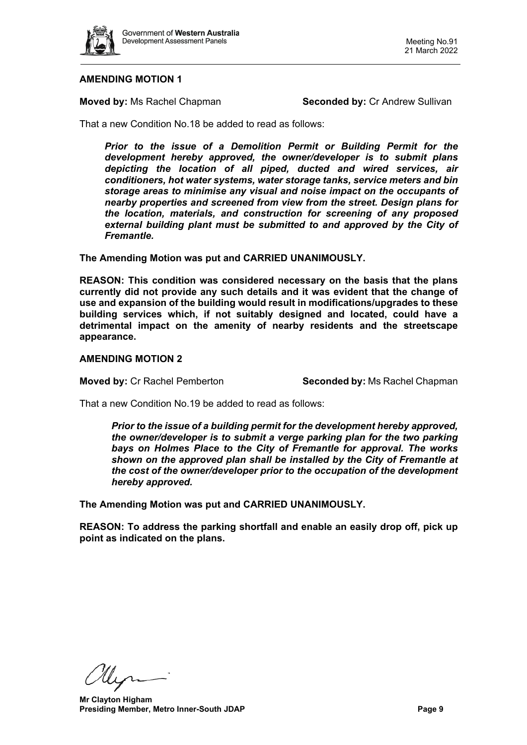

## **AMENDING MOTION 1**

**Moved by:** Ms Rachel Chapman **Seconded by:** Cr Andrew Sullivan

That a new Condition No.18 be added to read as follows:

*Prior to the issue of a Demolition Permit or Building Permit for the development hereby approved, the owner/developer is to submit plans depicting the location of all piped, ducted and wired services, air conditioners, hot water systems, water storage tanks, service meters and bin storage areas to minimise any visual and noise impact on the occupants of nearby properties and screened from view from the street. Design plans for the location, materials, and construction for screening of any proposed*  external building plant must be submitted to and approved by the City of *Fremantle.*

**The Amending Motion was put and CARRIED UNANIMOUSLY.**

**REASON: This condition was considered necessary on the basis that the plans currently did not provide any such details and it was evident that the change of use and expansion of the building would result in modifications/upgrades to these building services which, if not suitably designed and located, could have a detrimental impact on the amenity of nearby residents and the streetscape appearance.**

## **AMENDING MOTION 2**

**Moved by:** Cr Rachel Pemberton **Seconded by:** Ms Rachel Chapman

That a new Condition No.19 be added to read as follows:

*Prior to the issue of a building permit for the development hereby approved, the owner/developer is to submit a verge parking plan for the two parking bays on Holmes Place to the City of Fremantle for approval. The works shown on the approved plan shall be installed by the City of Fremantle at the cost of the owner/developer prior to the occupation of the development hereby approved.* 

**The Amending Motion was put and CARRIED UNANIMOUSLY.**

**REASON: To address the parking shortfall and enable an easily drop off, pick up point as indicated on the plans.**

Ulyn

**Mr Clayton Higham Presiding Member, Metro Inner-South JDAP Page 9**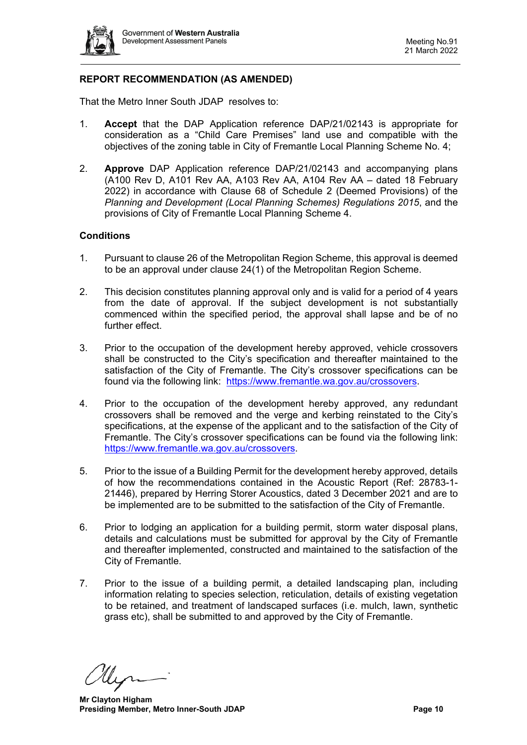

# **REPORT RECOMMENDATION (AS AMENDED)**

That the Metro Inner South JDAP resolves to:

- 1. **Accept** that the DAP Application reference DAP/21/02143 is appropriate for consideration as a "Child Care Premises" land use and compatible with the objectives of the zoning table in City of Fremantle Local Planning Scheme No. 4;
- 2. **Approve** DAP Application reference DAP/21/02143 and accompanying plans (A100 Rev D, A101 Rev AA, A103 Rev AA, A104 Rev AA – dated 18 February 2022) in accordance with Clause 68 of Schedule 2 (Deemed Provisions) of the *Planning and Development (Local Planning Schemes) Regulations 2015*, and the provisions of City of Fremantle Local Planning Scheme 4.

## **Conditions**

- 1. Pursuant to clause 26 of the Metropolitan Region Scheme, this approval is deemed to be an approval under clause 24(1) of the Metropolitan Region Scheme.
- 2. This decision constitutes planning approval only and is valid for a period of 4 years from the date of approval. If the subject development is not substantially commenced within the specified period, the approval shall lapse and be of no further effect.
- 3. Prior to the occupation of the development hereby approved, vehicle crossovers shall be constructed to the City's specification and thereafter maintained to the satisfaction of the City of Fremantle. The City's crossover specifications can be found via the following link: [https://www.fremantle.wa.gov.au/crossovers.](https://www.fremantle.wa.gov.au/crossovers)
- 4. Prior to the occupation of the development hereby approved, any redundant crossovers shall be removed and the verge and kerbing reinstated to the City's specifications, at the expense of the applicant and to the satisfaction of the City of Fremantle. The City's crossover specifications can be found via the following link: [https://www.fremantle.wa.gov.au/crossovers.](https://www.fremantle.wa.gov.au/crossovers)
- 5. Prior to the issue of a Building Permit for the development hereby approved, details of how the recommendations contained in the Acoustic Report (Ref: 28783-1- 21446), prepared by Herring Storer Acoustics, dated 3 December 2021 and are to be implemented are to be submitted to the satisfaction of the City of Fremantle.
- 6. Prior to lodging an application for a building permit, storm water disposal plans, details and calculations must be submitted for approval by the City of Fremantle and thereafter implemented, constructed and maintained to the satisfaction of the City of Fremantle.
- 7. Prior to the issue of a building permit, a detailed landscaping plan, including information relating to species selection, reticulation, details of existing vegetation to be retained, and treatment of landscaped surfaces (i.e. mulch, lawn, synthetic grass etc), shall be submitted to and approved by the City of Fremantle.

**Mr Clayton Higham Presiding Member, Metro Inner-South JDAP Page 10 Page 10**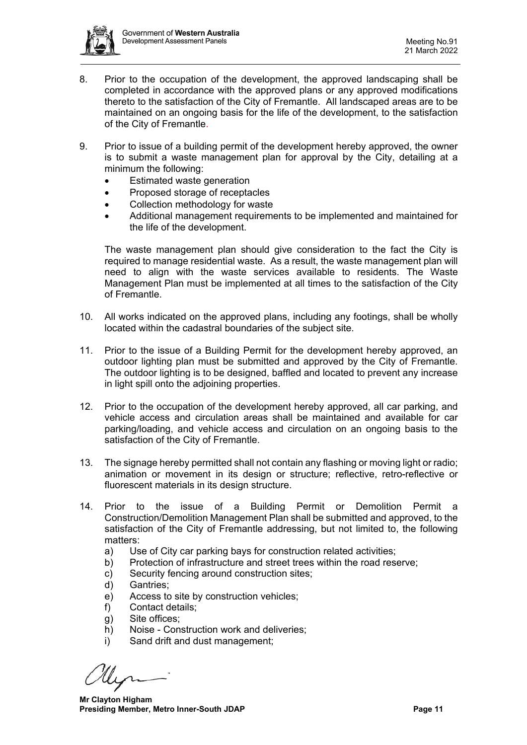

- 8. Prior to the occupation of the development, the approved landscaping shall be completed in accordance with the approved plans or any approved modifications thereto to the satisfaction of the City of Fremantle. All landscaped areas are to be maintained on an ongoing basis for the life of the development, to the satisfaction of the City of Fremantle.
- 9. Prior to issue of a building permit of the development hereby approved, the owner is to submit a waste management plan for approval by the City, detailing at a minimum the following:
	- Estimated waste generation
	- Proposed storage of receptacles
	- Collection methodology for waste
	- Additional management requirements to be implemented and maintained for the life of the development.

The waste management plan should give consideration to the fact the City is required to manage residential waste. As a result, the waste management plan will need to align with the waste services available to residents. The Waste Management Plan must be implemented at all times to the satisfaction of the City of Fremantle.

- 10. All works indicated on the approved plans, including any footings, shall be wholly located within the cadastral boundaries of the subject site.
- 11. Prior to the issue of a Building Permit for the development hereby approved, an outdoor lighting plan must be submitted and approved by the City of Fremantle. The outdoor lighting is to be designed, baffled and located to prevent any increase in light spill onto the adjoining properties.
- 12. Prior to the occupation of the development hereby approved, all car parking, and vehicle access and circulation areas shall be maintained and available for car parking/loading, and vehicle access and circulation on an ongoing basis to the satisfaction of the City of Fremantle.
- 13. The signage hereby permitted shall not contain any flashing or moving light or radio; animation or movement in its design or structure; reflective, retro-reflective or fluorescent materials in its design structure.
- 14. Prior to the issue of a Building Permit or Demolition Permit a Construction/Demolition Management Plan shall be submitted and approved, to the satisfaction of the City of Fremantle addressing, but not limited to, the following matters:
	- a) Use of City car parking bays for construction related activities;
	- b) Protection of infrastructure and street trees within the road reserve;
	- c) Security fencing around construction sites;
	- d) Gantries;
	- e) Access to site by construction vehicles;
	- f) Contact details;
	- g) Site offices;
	- h) Noise Construction work and deliveries;
	- i) Sand drift and dust management;

**Mr Clayton Higham Presiding Member, Metro Inner-South JDAP Page 11 Page 11**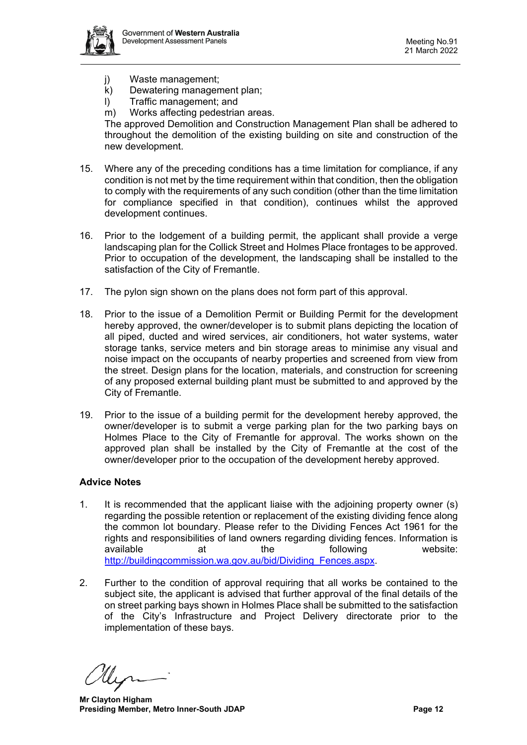- j) Waste management;
- k) Dewatering management plan;
- l) Traffic management; and
- m) Works affecting pedestrian areas.

The approved Demolition and Construction Management Plan shall be adhered to throughout the demolition of the existing building on site and construction of the new development.

- 15. Where any of the preceding conditions has a time limitation for compliance, if any condition is not met by the time requirement within that condition, then the obligation to comply with the requirements of any such condition (other than the time limitation for compliance specified in that condition), continues whilst the approved development continues.
- 16. Prior to the lodgement of a building permit, the applicant shall provide a verge landscaping plan for the Collick Street and Holmes Place frontages to be approved. Prior to occupation of the development, the landscaping shall be installed to the satisfaction of the City of Fremantle.
- 17. The pylon sign shown on the plans does not form part of this approval.
- 18. Prior to the issue of a Demolition Permit or Building Permit for the development hereby approved, the owner/developer is to submit plans depicting the location of all piped, ducted and wired services, air conditioners, hot water systems, water storage tanks, service meters and bin storage areas to minimise any visual and noise impact on the occupants of nearby properties and screened from view from the street. Design plans for the location, materials, and construction for screening of any proposed external building plant must be submitted to and approved by the City of Fremantle.
- 19. Prior to the issue of a building permit for the development hereby approved, the owner/developer is to submit a verge parking plan for the two parking bays on Holmes Place to the City of Fremantle for approval. The works shown on the approved plan shall be installed by the City of Fremantle at the cost of the owner/developer prior to the occupation of the development hereby approved.

## **Advice Notes**

- 1. It is recommended that the applicant liaise with the adjoining property owner (s) regarding the possible retention or replacement of the existing dividing fence along the common lot boundary. Please refer to the Dividing Fences Act 1961 for the rights and responsibilities of land owners regarding dividing fences. Information is available at the following website: [http://buildingcommission.wa.gov.au/bid/Dividing\\_Fences.aspx.](http://buildingcommission.wa.gov.au/bid/Dividing_Fences.aspx)
- 2. Further to the condition of approval requiring that all works be contained to the subject site, the applicant is advised that further approval of the final details of the on street parking bays shown in Holmes Place shall be submitted to the satisfaction of the City's Infrastructure and Project Delivery directorate prior to the implementation of these bays.

**Mr Clayton Higham Presiding Member, Metro Inner-South JDAP Page 12 Page 12**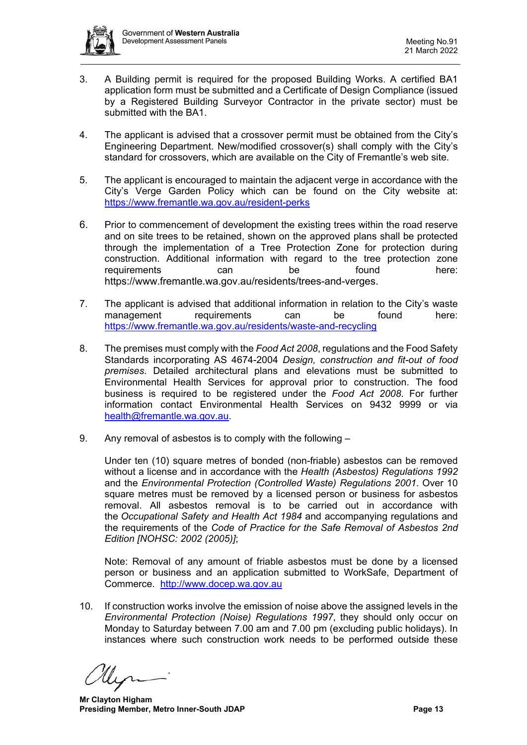

- 3. A Building permit is required for the proposed Building Works. A certified BA1 application form must be submitted and a Certificate of Design Compliance (issued by a Registered Building Surveyor Contractor in the private sector) must be submitted with the BA1.
- 4. The applicant is advised that a crossover permit must be obtained from the City's Engineering Department. New/modified crossover(s) shall comply with the City's standard for crossovers, which are available on the City of Fremantle's web site.
- 5. The applicant is encouraged to maintain the adjacent verge in accordance with the City's Verge Garden Policy which can be found on the City website at: <https://www.fremantle.wa.gov.au/resident-perks>
- 6. Prior to commencement of development the existing trees within the road reserve and on site trees to be retained, shown on the approved plans shall be protected through the implementation of a Tree Protection Zone for protection during construction. Additional information with regard to the tree protection zone requirements can be found here: [https://www.fremantle.wa.gov.au/residents/trees-and-verges.](https://www.fremantle.wa.gov.au/residents/trees-and-verges)
- 7. The applicant is advised that additional information in relation to the City's waste management requirements can be found here: <https://www.fremantle.wa.gov.au/residents/waste-and-recycling>
- 8. The premises must comply with the *Food Act 2008*, regulations and the Food Safety Standards incorporating AS 4674-2004 *Design, construction and fit-out of food premises*. Detailed architectural plans and elevations must be submitted to Environmental Health Services for approval prior to construction. The food business is required to be registered under the *Food Act 2008*. For further information contact Environmental Health Services on 9432 9999 or via [health@fremantle.wa.gov.au.](mailto:health@fremantle.wa.gov.au)
- 9. Any removal of asbestos is to comply with the following –

Under ten (10) square metres of bonded (non-friable) asbestos can be removed without a license and in accordance with the *Health (Asbestos) Regulations 1992* and the *Environmental Protection (Controlled Waste) Regulations 2001*. Over 10 square metres must be removed by a licensed person or business for asbestos removal. All asbestos removal is to be carried out in accordance with the *Occupational Safety and Health Act 1984* and accompanying regulations and the requirements of the *Code of Practice for the Safe Removal of Asbestos 2nd Edition [NOHSC: 2002 (2005)]*;

Note: Removal of any amount of friable asbestos must be done by a licensed person or business and an application submitted to WorkSafe, Department of Commerce. [http://www.docep.wa.gov.au](http://www.docep.wa.gov.au/)

10. If construction works involve the emission of noise above the assigned levels in the *Environmental Protection (Noise) Regulations 1997*, they should only occur on Monday to Saturday between 7.00 am and 7.00 pm (excluding public holidays). In instances where such construction work needs to be performed outside these

**Mr Clayton Higham Presiding Member, Metro Inner-South JDAP Page 13 Page 13**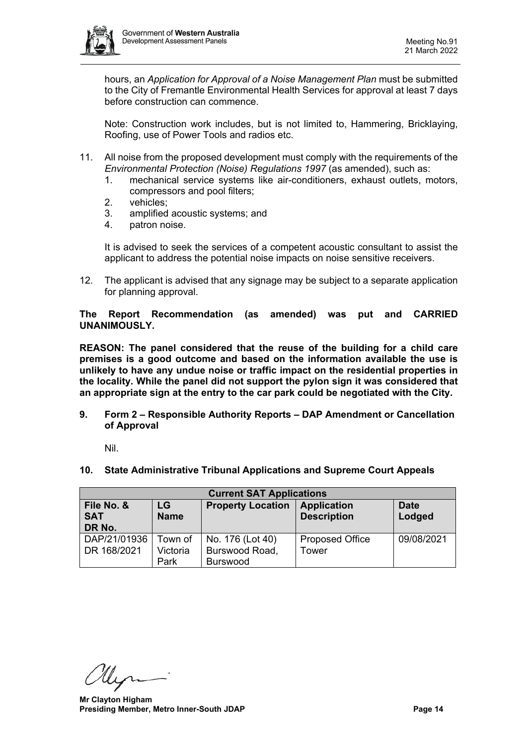

hours, an *Application for Approval of a Noise Management Plan* must be submitted to the City of Fremantle Environmental Health Services for approval at least 7 days before construction can commence.

Note: Construction work includes, but is not limited to, Hammering, Bricklaying, Roofing, use of Power Tools and radios etc.

- 11. All noise from the proposed development must comply with the requirements of the *Environmental Protection (Noise) Regulations 1997* (as amended), such as:
	- 1. mechanical service systems like air-conditioners, exhaust outlets, motors, compressors and pool filters;
	- 2. vehicles;
	- 3. amplified acoustic systems; and
	- 4. patron noise.

It is advised to seek the services of a competent acoustic consultant to assist the applicant to address the potential noise impacts on noise sensitive receivers.

12. The applicant is advised that any signage may be subject to a separate application for planning approval.

**The Report Recommendation (as amended) was put and CARRIED UNANIMOUSLY.**

**REASON: The panel considered that the reuse of the building for a child care premises is a good outcome and based on the information available the use is unlikely to have any undue noise or traffic impact on the residential properties in the locality. While the panel did not support the pylon sign it was considered that an appropriate sign at the entry to the car park could be negotiated with the City.**

<span id="page-13-0"></span>**9. Form 2 – Responsible Authority Reports – DAP Amendment or Cancellation of Approval**

Nil.

<span id="page-13-2"></span><span id="page-13-1"></span>**10. State Administrative Tribunal Applications and Supreme Court Appeals**

| <b>Current SAT Applications</b> |             |                          |                        |             |  |  |  |
|---------------------------------|-------------|--------------------------|------------------------|-------------|--|--|--|
| File No. &                      | LG          | <b>Property Location</b> | <b>Application</b>     | <b>Date</b> |  |  |  |
| <b>SAT</b>                      | <b>Name</b> |                          | <b>Description</b>     | Lodged      |  |  |  |
| DR No.                          |             |                          |                        |             |  |  |  |
| DAP/21/01936                    | Town of     | No. 176 (Lot 40)         | <b>Proposed Office</b> | 09/08/2021  |  |  |  |
| DR 168/2021                     | Victoria    | Burswood Road,           | Tower                  |             |  |  |  |
|                                 | Park        | <b>Burswood</b>          |                        |             |  |  |  |

**Mr Clayton Higham Presiding Member, Metro Inner-South JDAP Page 14 Page 14**